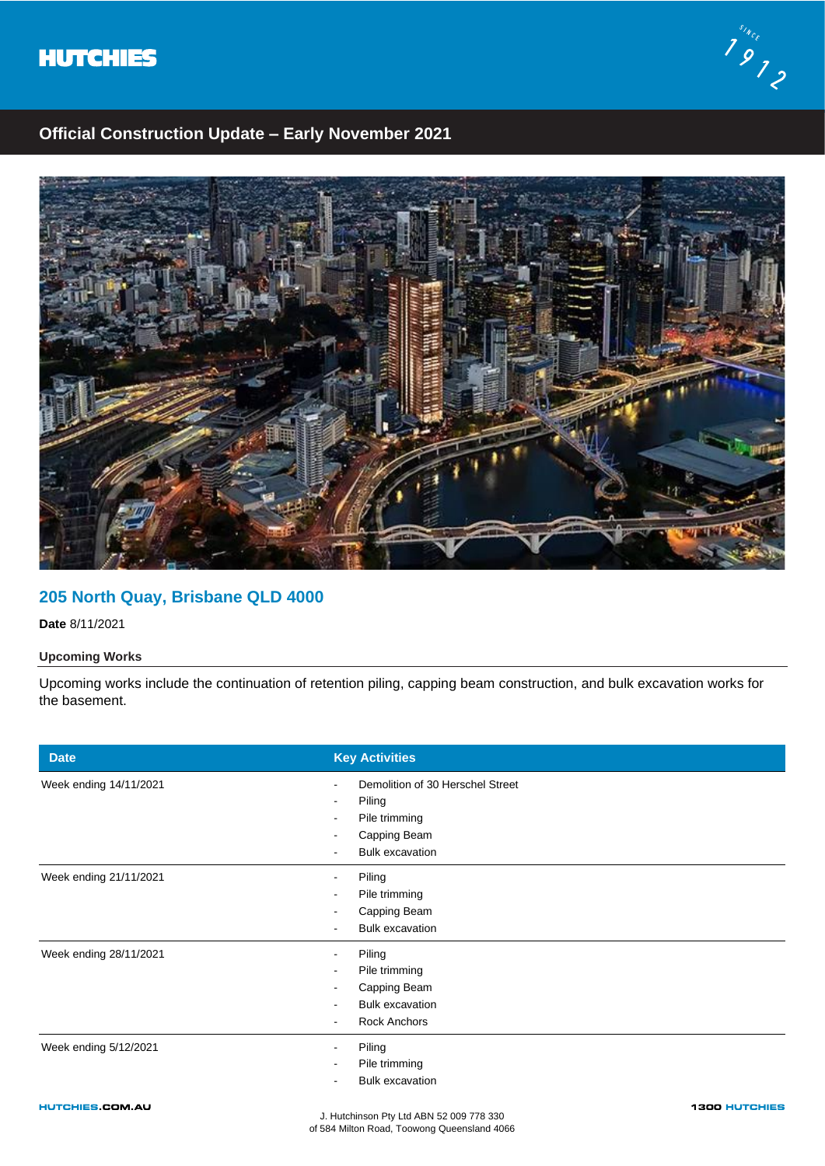



## **Official Construction Update – Early November 2021**



# **205 North Quay, Brisbane QLD 4000**

**Date** 8/11/2021

### **Upcoming Works**

Upcoming works include the continuation of retention piling, capping beam construction, and bulk excavation works for the basement.

| <b>Date</b>            | <b>Key Activities</b>                                                                                 |
|------------------------|-------------------------------------------------------------------------------------------------------|
| Week ending 14/11/2021 | Demolition of 30 Herschel Street<br>Piling<br>Pile trimming<br>Capping Beam<br><b>Bulk excavation</b> |
| Week ending 21/11/2021 | Piling<br>Pile trimming<br>Capping Beam<br><b>Bulk excavation</b>                                     |
| Week ending 28/11/2021 | Piling<br>Pile trimming<br>Capping Beam<br><b>Bulk excavation</b><br>Rock Anchors                     |
| Week ending 5/12/2021  | Piling<br>Pile trimming<br><b>Bulk excavation</b>                                                     |